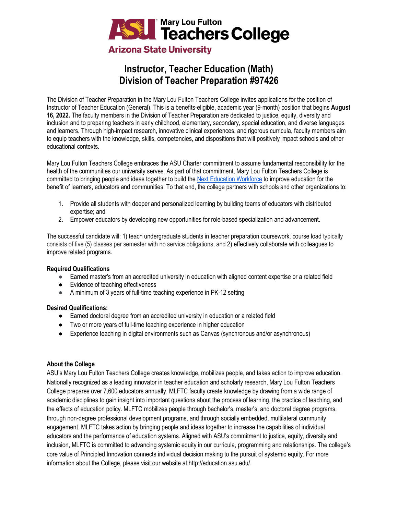

# **Instructor, Teacher Education (Math) Division of Teacher Preparation #97426**

The Division of Teacher Preparation in the Mary Lou Fulton Teachers College invites applications for the position of Instructor of Teacher Education (General). This is a benefits-eligible, academic year (9-month) position that begins **August 16, 2022.** The faculty members in the Division of Teacher Preparation are dedicated to justice, equity, diversity and inclusion and to preparing teachers in early childhood, elementary, secondary, special education, and diverse languages and learners. Through high-impact research, innovative clinical experiences, and rigorous curricula, faculty members aim to equip teachers with the knowledge, skills, competencies, and dispositions that will positively impact schools and other educational contexts.

Mary Lou Fulton Teachers College embraces the ASU Charter commitment to assume fundamental responsibility for the health of the communities our university serves. As part of that commitment, Mary Lou Fulton Teachers College is committed to bringing people and ideas together to build the [Next Education Workforce](https://workforce.education.asu.edu/?utm_source=mlftc&utm_medium=redirect&utm_campaign=top_nav) to improve education for the benefit of learners, educators and communities. To that end, the college partners with schools and other organizations to:

- 1. Provide all students with deeper and personalized learning by building teams of educators with distributed expertise; and
- 2. Empower educators by developing new opportunities for role-based specialization and advancement.

The successful candidate will: 1) teach undergraduate students in teacher preparation coursework, course load typically consists of five (5) classes per semester with no service obligations, and 2) effectively collaborate with colleagues to improve related programs.

#### **Required Qualifications**

- Earned master's from an accredited university in education with aligned content expertise or a related field
- Evidence of teaching effectiveness
- A minimum of 3 years of full-time teaching experience in PK-12 setting

# **Desired Qualifications:**

- Earned doctoral degree from an accredited university in education or a related field
- Two or more years of full-time teaching experience in higher education
- Experience teaching in digital environments such as Canvas (synchronous and/or asynchronous)

# **About the College**

ASU's Mary Lou Fulton Teachers College creates knowledge, mobilizes people, and takes action to improve education. Nationally recognized as a leading innovator in teacher education and scholarly research, Mary Lou Fulton Teachers College prepares over 7,600 educators annually. MLFTC faculty create knowledge by drawing from a wide range of academic disciplines to gain insight into important questions about the process of learning, the practice of teaching, and the effects of education policy. MLFTC mobilizes people through bachelor's, master's, and doctoral degree programs, through non-degree professional development programs, and through socially embedded, multilateral community engagement. MLFTC takes action by bringing people and ideas together to increase the capabilities of individual educators and the performance of education systems. Aligned with ASU's commitment to justice, equity, diversity and inclusion, MLFTC is committed to advancing systemic equity in our curricula, programming and relationships. The college's core value of Principled Innovation connects individual decision making to the pursuit of systemic equity. For more information about the College, please visit our website at http://education.asu.edu/.